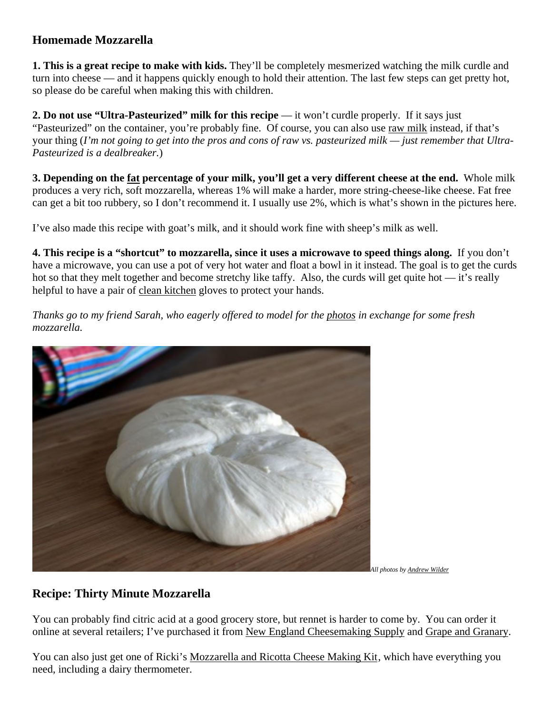## **Homemade Mozzarella**

**1. This is a great recipe to make with kids.** They'll be completely mesmerized watching the milk curdle and turn into cheese — and it happens quickly enough to hold their attention. The last few steps can get pretty hot, so please do be careful when making this with children.

**2. Do not use "Ultra-Pasteurized" milk for this recipe** — it won't curdle properly. If it says just "Pasteurized" on the container, you're probably fine. Of course, you can also use [raw milk](http://www.simplebites.net/discovering-raw-milk/) instead, if that's your thing (*I'm not going to get into the pros and cons of raw vs. pasteurized milk — just remember that Ultra-Pasteurized is a dealbreaker.*)

**3. Depending on the [fat](http://www.simplebites.net/the-best-party-trick-ever-how-to-make-thirty-minute-mozzarella/) percentage of your milk, you'll get a very different cheese at the end.** Whole milk produces a very rich, soft mozzarella, whereas 1% will make a harder, more string-cheese-like cheese. Fat free can get a bit too rubbery, so I don't recommend it. I usually use 2%, which is what's shown in the pictures here.

I've also made this recipe with goat's milk, and it should work fine with sheep's milk as well.

**4. This recipe is a "shortcut" to mozzarella, since it uses a microwave to speed things along.** If you don't have a microwave, you can use a pot of very hot water and float a bowl in it instead. The goal is to get the curds hot so that they melt together and become stretchy like taffy. Also, the curds will get quite hot — it's really helpful to have a pair of [clean kitchen](http://www.simplebites.net/the-best-party-trick-ever-how-to-make-thirty-minute-mozzarella/) gloves to protect your hands.

*Thanks go to my friend Sarah, who eagerly offered to model for the [photos](http://www.simplebites.net/the-best-party-trick-ever-how-to-make-thirty-minute-mozzarella/) in exchange for some fresh mozzarella.*



*All photos b[y Andrew Wilder](http://www.eatingrules.com/)*

## **Recipe: Thirty Minute Mozzarella**

You can probably find citric acid at a good grocery store, but rennet is harder to come by. You can order it online at several retailers; I've purchased it from [New England Cheesemaking Supply](http://www.cheesemaking.com/cheeserennets.html) and [Grape and Granary.](http://www.thegrape.net/browse.cfm/cheese-making/2,1373.html)

You can also just get one of Ricki's [Mozzarella and Ricotta Cheese Making Kit,](http://www.amazon.com/gp/product/B00014CEXG/ref=as_li_ss_tl?ie=UTF8&tag=simpbite0f-20&linkCode=as2&camp=1789&creative=390957&creativeASIN=B00014CEXG) which have everything you need, including a dairy thermometer.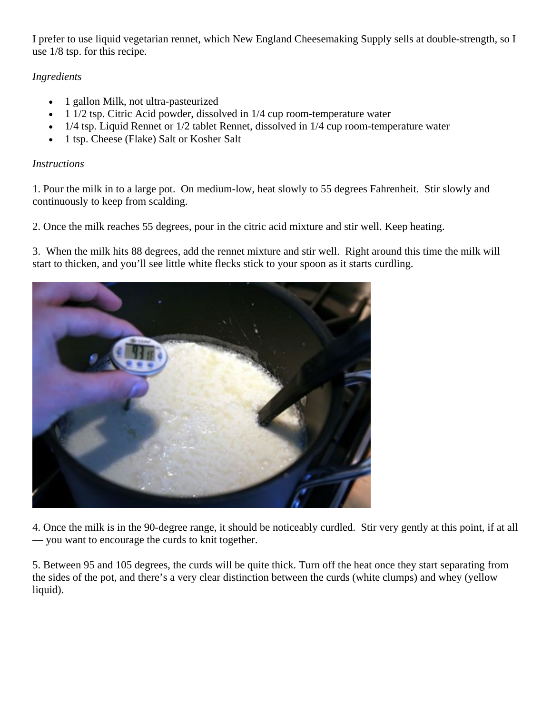I prefer to use liquid vegetarian rennet, which New England Cheesemaking Supply sells at double-strength, so I use 1/8 tsp. for this recipe.

## *Ingredients*

- 1 gallon Milk, not ultra-pasteurized
- 1 1/2 tsp. Citric Acid powder, dissolved in 1/4 cup room-temperature water
- 1/4 tsp. Liquid Rennet or 1/2 tablet Rennet, dissolved in 1/4 cup room-temperature water
- 1 tsp. Cheese (Flake) Salt or Kosher Salt

## *Instructions*

1. Pour the milk in to a large pot. On medium-low, heat slowly to 55 degrees Fahrenheit. Stir slowly and continuously to keep from scalding.

2. Once the milk reaches 55 degrees, pour in the citric acid mixture and stir well. Keep heating.

3. When the milk hits 88 degrees, add the rennet mixture and stir well. Right around this time the milk will start to thicken, and you'll see little white flecks stick to your spoon as it starts curdling.



4. Once the milk is in the 90-degree range, it should be noticeably curdled. Stir very gently at this point, if at all — you want to encourage the curds to knit together.

5. Between 95 and 105 degrees, the curds will be quite thick. Turn off the heat once they start separating from the sides of the pot, and there's a very clear distinction between the curds (white clumps) and whey (yellow liquid).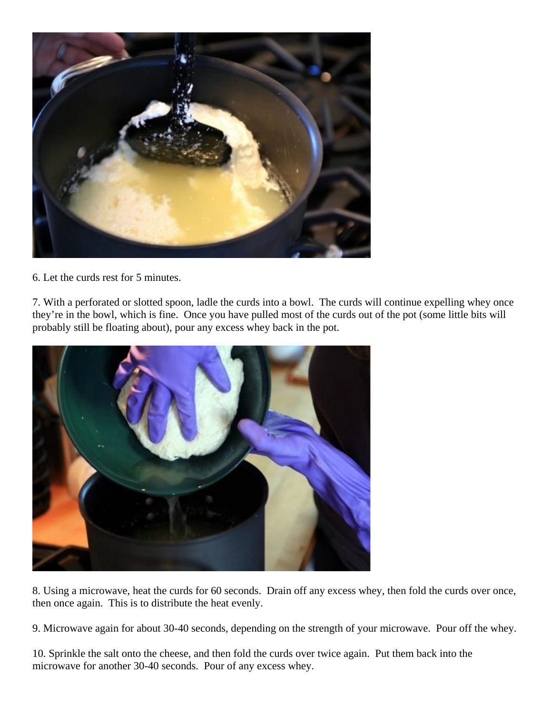

6. Let the curds rest for 5 minutes.

7. With a perforated or slotted spoon, ladle the curds into a bowl. The curds will continue expelling whey once they're in the bowl, which is fine. Once you have pulled most of the curds out of the pot (some little bits will probably still be floating about), pour any excess whey back in the pot.



8. Using a microwave, heat the curds for 60 seconds. Drain off any excess whey, then fold the curds over once, then once again. This is to distribute the heat evenly.

9. Microwave again for about 30-40 seconds, depending on the strength of your microwave. Pour off the whey.

10. Sprinkle the salt onto the cheese, and then fold the curds over twice again. Put them back into the microwave for another 30-40 seconds. Pour of any excess whey.